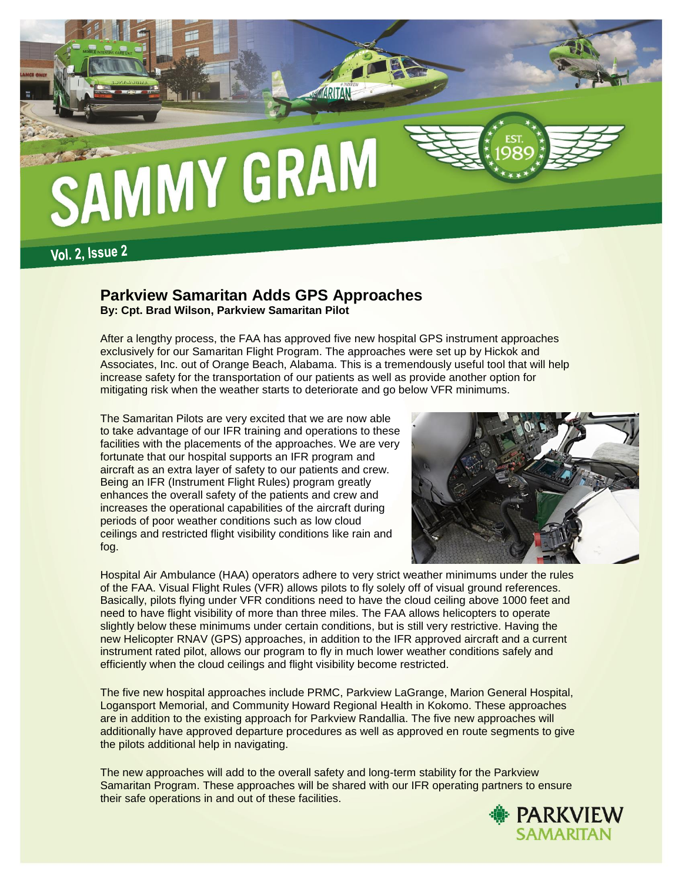

# **Parkview Samaritan Adds GPS Approaches**

**By: Cpt. Brad Wilson, Parkview Samaritan Pilot**

After a lengthy process, the FAA has approved five new hospital GPS instrument approaches exclusively for our Samaritan Flight Program. The approaches were set up by Hickok and Associates, Inc. out of Orange Beach, Alabama. This is a tremendously useful tool that will help increase safety for the transportation of our patients as well as provide another option for mitigating risk when the weather starts to deteriorate and go below VFR minimums.

The Samaritan Pilots are very excited that we are now able to take advantage of our IFR training and operations to these facilities with the placements of the approaches. We are very fortunate that our hospital supports an IFR program and aircraft as an extra layer of safety to our patients and crew. Being an IFR (Instrument Flight Rules) program greatly enhances the overall safety of the patients and crew and increases the operational capabilities of the aircraft during periods of poor weather conditions such as low cloud ceilings and restricted flight visibility conditions like rain and fog.



Hospital Air Ambulance (HAA) operators adhere to very strict weather minimums under the rules of the FAA. Visual Flight Rules (VFR) allows pilots to fly solely off of visual ground references. Basically, pilots flying under VFR conditions need to have the cloud ceiling above 1000 feet and need to have flight visibility of more than three miles. The FAA allows helicopters to operate slightly below these minimums under certain conditions, but is still very restrictive. Having the new Helicopter RNAV (GPS) approaches, in addition to the IFR approved aircraft and a current instrument rated pilot, allows our program to fly in much lower weather conditions safely and efficiently when the cloud ceilings and flight visibility become restricted.

The five new hospital approaches include PRMC, Parkview LaGrange, Marion General Hospital, Logansport Memorial, and Community Howard Regional Health in Kokomo. These approaches are in addition to the existing approach for Parkview Randallia. The five new approaches will additionally have approved departure procedures as well as approved en route segments to give the pilots additional help in navigating.

The new approaches will add to the overall safety and long-term stability for the Parkview Samaritan Program. These approaches will be shared with our IFR operating partners to ensure their safe operations in and out of these facilities.